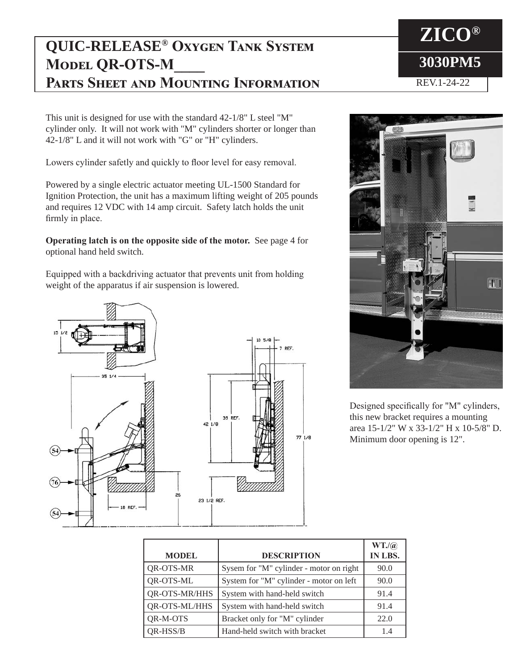## **QUIC-RELEASE® Oxygen Tank System MODEL QR-OTS-M Parts Sheet and Mounting Information**

This unit is designed for use with the standard 42-1/8" L steel "M" cylinder only. It will not work with "M" cylinders shorter or longer than 42-1/8" L and it will not work with "G" or "H" cylinders.

Lowers cylinder safetly and quickly to floor level for easy removal.

Powered by a single electric actuator meeting UL-1500 Standard for Ignition Protection, the unit has a maximum lifting weight of 205 pounds and requires 12 VDC with 14 amp circuit. Safety latch holds the unit firmly in place.

**Operating latch is on the opposite side of the motor.** See page 4 for optional hand held switch.

Equipped with a backdriving actuator that prevents unit from holding weight of the apparatus if air suspension is lowered.





Designed specifically for "M" cylinders, this new bracket requires a mounting area 15-1/2" W x 33-1/2" H x 10-5/8" D. Minimum door opening is 12".

| <b>MODEL</b>         | <b>DESCRIPTION</b>                      | WT.(a)<br>IN LBS. |
|----------------------|-----------------------------------------|-------------------|
| QR-OTS-MR            | Sysem for "M" cylinder - motor on right | 90.0              |
| <b>QR-OTS-ML</b>     | System for "M" cylinder - motor on left | 90.0              |
| <b>QR-OTS-MR/HHS</b> | System with hand-held switch            | 91.4              |
| QR-OTS-ML/HHS        | System with hand-held switch            | 91.4              |
| QR-M-OTS             | Bracket only for "M" cylinder           | 22.0              |
| QR-HSS/B             | Hand-held switch with bracket           | 1.4               |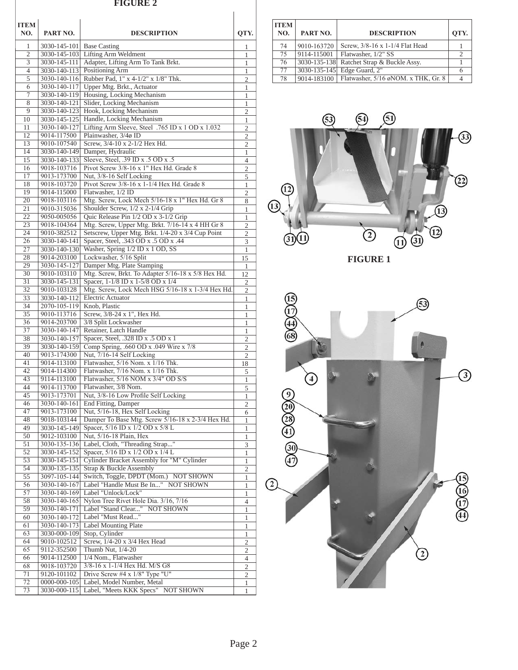## **FIGURE 2**

| <b>ITEM</b><br>NO.    | PART NO.                     | <b>DESCRIPTION</b>                                                                    | QTY.                           |
|-----------------------|------------------------------|---------------------------------------------------------------------------------------|--------------------------------|
| 1                     | 3030-145-101 Base Casting    |                                                                                       | 1                              |
| $\mathfrak{2}$<br>3   | 3030-145-111                 | 3030-145-103 Lifting Arm Weldment<br>Adapter, Lifting Arm To Tank Brkt.               | 1<br>$\mathbf{1}$              |
| $\overline{4}$        | 3030-140-113                 | Positioning Arm                                                                       | 1                              |
| 5                     | 3030-140-116                 | Rubber Pad, 1" x 4-1/2" x 1/8" Thk.                                                   | $\overline{c}$                 |
| 6                     | 3030-140-117                 | Upper Mtg. Brkt., Actuator                                                            | 1                              |
| 7                     | 3030-140-119                 | Housing, Locking Mechanism                                                            | 1                              |
| 8<br>9                | 3030-140-121<br>3030-140-123 | Slider, Locking Mechanism<br>Hook, Locking Mechanism                                  | $\mathbf{1}$<br>$\overline{c}$ |
| 10                    | 3030-145-125                 | Handle, Locking Mechanism                                                             | $\mathbf{1}$                   |
| 11                    | 3030-140-127                 | Lifting Arm Sleeve, Steel .765 ID x 1 OD x 1.032                                      | 2                              |
| 12                    | 9014-117500                  | Plainwasher, 3/4ø ID                                                                  | 2                              |
| 13                    | 9010-107540                  | Screw, 3/4-10 x 2-1/2 Hex Hd.                                                         | $\overline{c}$                 |
| 14<br>15              | 3030-140-149<br>3030-140-133 | Damper, Hydraulic<br>Sleeve, Steel, .39 ID x .5 OD x .5                               | 1<br>$\overline{4}$            |
| 16                    | 9018-103716                  | Pivot Screw 3/8-16 x 1" Hex Hd. Grade 8                                               | 2                              |
| 17                    | 9013-173700                  | Nut, 3/8-16 Self Locking                                                              | 5                              |
| 18                    | 9018-103720                  | Pivot Screw 3/8-16 x 1-1/4 Hex Hd. Grade 8                                            | $\mathbf{1}$                   |
| 19                    | 9014-115000                  | Flatwasher, 1/2 ID                                                                    | $\mathfrak{2}$                 |
| 20                    | 9018-103116                  | Mtg. Screw, Lock Mech 5/16-18 x 1" Hex Hd. Gr 8                                       | 8                              |
| 21<br>22              | 9010-315036<br>9050-005056   | Shoulder Screw, 1/2 x 2-1/4 Grip<br>Quic Release Pin 1/2 OD x 3-1/2 Grip              | 1<br>1                         |
| 23                    | 9018-104364                  | Mtg. Screw, Upper Mtg. Brkt. 7/16-14 x 4 HH Gr 8                                      | $\overline{c}$                 |
| 24                    | 9010-382512                  | Setscrew, Upper Mtg. Brkt. 1/4-20 x 3/4 Cup Point                                     | $\mathfrak{2}$                 |
| 26                    | 3030-140-141                 | Spacer, Steel, .343 OD x .5 OD x .44                                                  | 3                              |
| 27                    | 3030-140-130                 | Washer, Spring 1/2 ID x 1 OD, SS                                                      | 1                              |
| 28                    | 9014-203100                  | Lockwasher, 5/16 Split                                                                | 15                             |
| 29<br>30              | 3030-145-127<br>9010-103110  | Damper Mtg. Plate Stamping<br>Mtg. Screw, Brkt. To Adapter 5/16-18 x 5/8 Hex Hd.      | $\mathbf{1}$<br>12             |
| 31                    | 3030-145-131                 | Spacer, 1-1/8 ID x 1-5/8 OD x 1/4                                                     | 2                              |
| $\overline{32}$       | 9010-103128                  | Mtg. Screw, Lock Mech HSG 5/16-18 x 1-3/4 Hex Hd.                                     | 2                              |
| 33                    | 3030-140-112                 | Electric Actuator                                                                     | 1                              |
| 34                    | 2070-105-119                 | Knob, Plastic                                                                         | 1                              |
| $\overline{35}$<br>36 | 9010-113716                  | Screw, 3/8-24 x 1", Hex Hd.                                                           | 1                              |
| 37                    | 9014-203700<br>3030-140-147  | 3/8 Split Lockwasher<br>Retainer, Latch Handle                                        | 1<br>1                         |
| 38                    | 3030-140-157                 | Spacer, Steel, .328 ID x .5 OD x 1                                                    | 2                              |
| 39                    | 3030-140-159                 | Comp Spring, .660 OD x .049 Wire x 7/8                                                | $\overline{c}$                 |
| 40                    | 9013-174300                  | Nut, 7/16-14 Self Locking                                                             | 2                              |
| 41                    | 9014-113100                  | Flatwasher, 5/16 Nom. x 1/16 Thk.                                                     | 18                             |
| 42<br>43              | 9014-114300<br>9114-113100   | Flatwasher, 7/16 Nom. x 1/16 Thk.<br>Flatwasher, 5/16 NOM x 3/4" OD S/S               | 5                              |
| 44                    | 9014-113700                  | Flatwasher, 3/8 Nom.                                                                  | $\,1\,$<br>$\overline{5}$      |
| 45                    | 9013-173701                  | Nut, 3/8-16 Low Profile Self Locking                                                  | 1                              |
| 46                    | 3030-140-161                 | End Fitting, Damper                                                                   | $\mathbf{2}$                   |
| 47                    | 9013-173100                  | Nut, 5/16-18, Hex Self Locking                                                        | 6                              |
| 48<br>49              | 9018-103144                  | Damper To Base Mtg. Screw 5/16-18 x 2-3/4 Hex Hd.<br>Spacer, 5/16 ID x 1/2 OD x 5/8 L | 1                              |
| 50                    | 3030-145-149<br>9012-103100  | Nut, 5/16-18 Plain, Hex                                                               | 1<br>1                         |
| 51                    | 3030-135-136                 | Label, Cloth, "Threading Strap"                                                       | 3                              |
| 52                    | 3030-145-152                 | Spacer, 5/16 ID x 1/2 OD x 1/4 L                                                      | 1                              |
| 53                    | 3030-145-151                 | Cylinder Bracket Assembly for "M" Cylinder                                            | 1                              |
| 54                    | 3030-135-135                 | Strap & Buckle Assembly                                                               | $\mathfrak{2}$                 |
| 55<br>56              | 3097-105-144<br>3030-140-167 | Switch, Toggle, DPDT (Mom.) NOT SHOWN<br>Label "Handle Must Be In" NOT SHOWN          | 1                              |
| 57                    | 3030-140-169                 | Label "Unlock/Lock"                                                                   | 1<br>1                         |
| 58                    | 3030-140-165                 | Nylon Tree Rivet Hole Dia. 3/16, 7/16                                                 | $\overline{4}$                 |
| 59                    | 3030-140-171                 | Label "Stand Clear" NOT SHOWN                                                         | $\mathbf{1}$                   |
| 60                    | 3030-140-172                 | Label "Must Read"                                                                     | 1                              |
| 61                    | 3030-140-173                 | Label Mounting Plate                                                                  | 1                              |
| 63<br>64              | 3030-000-109<br>9010-102512  | Stop, Cylinder<br>Screw, 1/4-20 x 3/4 Hex Head                                        | 1<br>$\mathfrak{2}$            |
| 65                    | 9112-352500                  | Thumb Nut, 1/4-20                                                                     | $\mathbf{2}$                   |
| 66                    | 9014-112500                  | 1/4 Nom., Flatwasher                                                                  | 4                              |
| 68                    | 9018-103720                  | 3/8-16 x 1-1/4 Hex Hd. M/S G8                                                         | $\overline{c}$                 |
| 71                    | 9120-101102                  | Drive Screw #4 x 1/8" Type "U"                                                        | 2                              |
| $\overline{72}$       | 0000-000-105                 | Label, Model Number, Metal                                                            | 1                              |
| 73                    | 3030-000-115                 | Label, "Meets KKK Specs" NOT SHOWN                                                    | 1                              |

| <b>ITEM</b><br>NO. | PART NO.    | <b>DESCRIPTION</b>                                | OTY. |
|--------------------|-------------|---------------------------------------------------|------|
| 74                 | 9010-163720 | Screw, 3/8-16 x 1-1/4 Flat Head                   |      |
| 75                 | 9114-115001 | Flatwasher, 1/2" SS                               |      |
| 76                 |             | 3030-135-138 Ratchet Strap & Buckle Assy.         |      |
| 77                 |             | 3030-135-145 Edge Guard, 2"                       |      |
| 78                 |             | 9014-183100   Flatwasher, 5/16 øNOM. x THK, Gr. 8 |      |



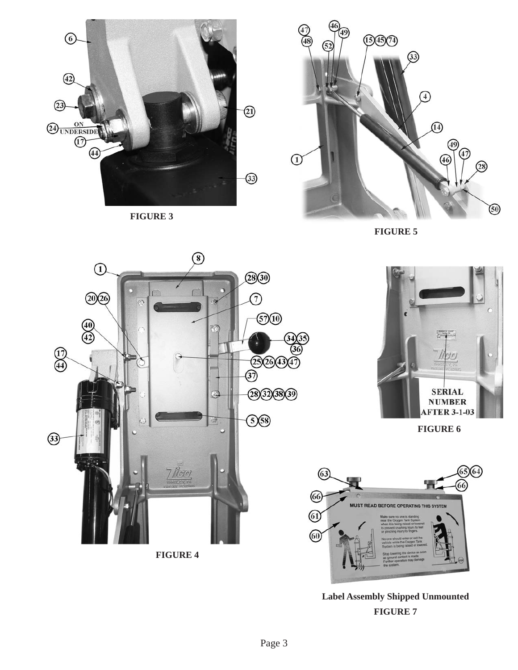

**FIGURE 3**



**FIGURE 5**





**FIGURE 6**



**FIGURE 7 Label Assembly Shipped Unmounted**